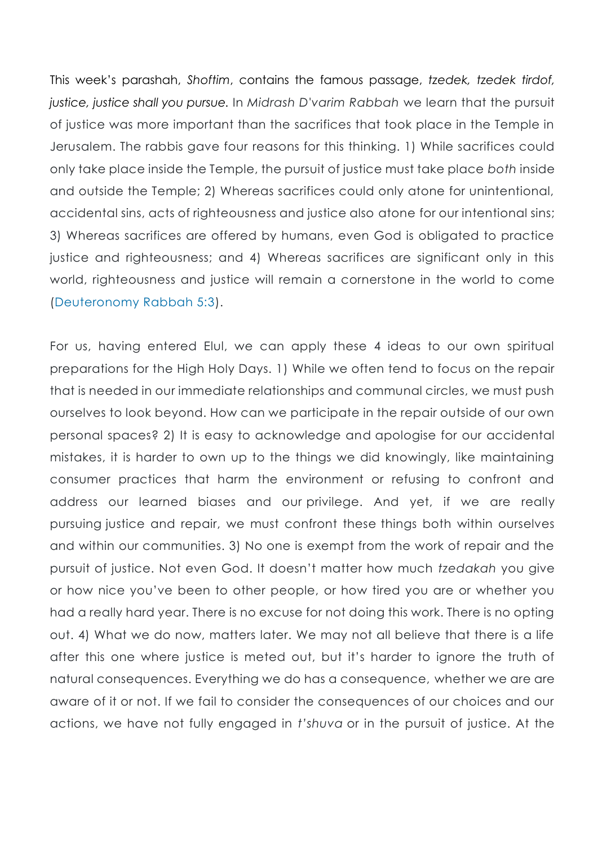This week's parashah, *Shoftim*, contains the famous passage, *tzedek, tzedek tirdof, justice, justice shall you pursue.* In *Midrash D'varim Rabbah* we learn that the pursuit of justice was more important than the sacrifices that took place in the Temple in Jerusalem. The rabbis gave four reasons for this thinking. 1) While sacrifices could only take place inside the Temple, the pursuit of justice must take place *both* inside and outside the Temple; 2) Whereas sacrifices could only atone for unintentional, accidental sins, acts of righteousness and justice also atone for our intentional sins; 3) Whereas sacrifices are offered by humans, even God is obligated to practice justice and righteousness; and 4) Whereas sacrifices are significant only in this world, righteousness and justice will remain a cornerstone in the world to come [\(Deuteronomy Rabbah 5:3\)](https://www.sefaria.org/Devarim_Rabbah.5?lang=bi).

For us, having entered Elul, we can apply these 4 ideas to our own spiritual preparations for the High Holy Days. 1) While we often tend to focus on the repair that is needed in our immediate relationships and communal circles, we must push ourselves to look beyond. How can we participate in the repair outside of our own personal spaces? 2) It is easy to acknowledge and apologise for our accidental mistakes, it is harder to own up to the things we did knowingly, like maintaining consumer practices that harm the environment or refusing to confront and address our learned biases and our privilege. And yet, if we are really pursuing justice and repair, we must confront these things both within ourselves and within our communities. 3) No one is exempt from the work of repair and the pursuit of justice. Not even God. It doesn't matter how much *tzedakah* you give or how nice you've been to other people, or how tired you are or whether you had a really hard year. There is no excuse for not doing this work. There is no opting out. 4) What we do now, matters later. We may not all believe that there is a life after this one where justice is meted out, but it's harder to ignore the truth of natural consequences. Everything we do has a consequence, whether we are are aware of it or not. If we fail to consider the consequences of our choices and our actions, we have not fully engaged in *t'shuva* or in the pursuit of justice. At the